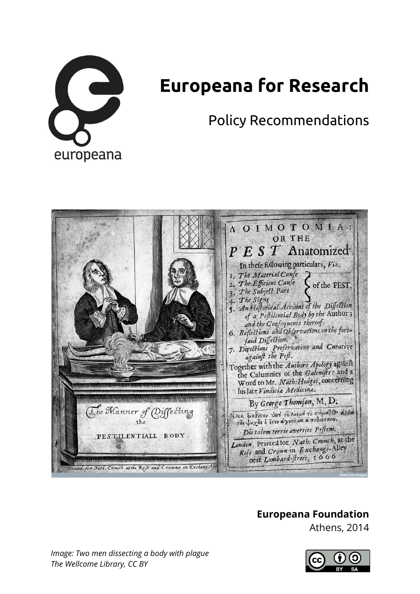

# **Europeana for Research**

Policy Recommendations



## **Europeana Foundation**

Athens, 2014

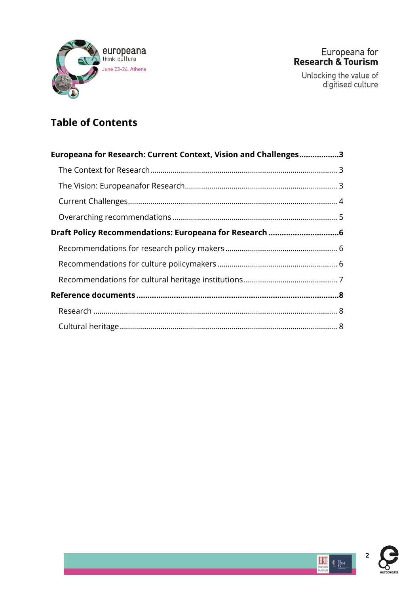

## **Table of Contents**

| Europeana for Research: Current Context, Vision and Challenges3 |  |
|-----------------------------------------------------------------|--|
|                                                                 |  |
|                                                                 |  |
|                                                                 |  |
|                                                                 |  |
|                                                                 |  |
|                                                                 |  |
|                                                                 |  |
|                                                                 |  |
|                                                                 |  |
|                                                                 |  |
|                                                                 |  |

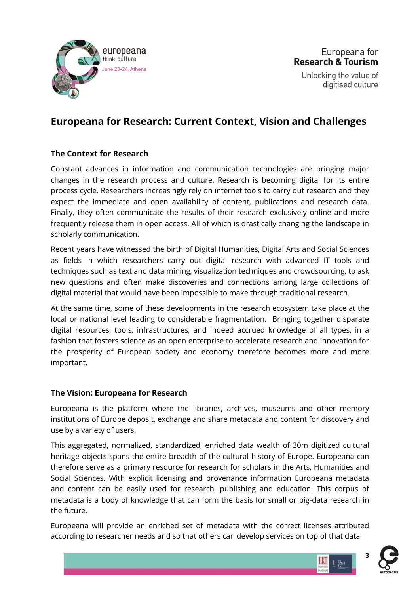

## <span id="page-2-0"></span>**Europeana for Research: Current Context, Vision and Challenges**

## <span id="page-2-1"></span>**The Context for Research**

Constant advances in information and communication technologies are bringing major changes in the research process and culture. Research is becoming digital for its entire process cycle. Researchers increasingly rely on internet tools to carry out research and they expect the immediate and open availability of content, publications and research data. Finally, they often communicate the results of their research exclusively online and more frequently release them in open access. All of which is drastically changing the landscape in scholarly communication.

Recent years have witnessed the birth of Digital Humanities, Digital Arts and Social Sciences as fields in which researchers carry out digital research with advanced IT tools and techniques such as text and data mining, visualization techniques and crowdsourcing, to ask new questions and often make discoveries and connections among large collections of digital material that would have been impossible to make through traditional research.

At the same time, some of these developments in the research ecosystem take place at the local or national level leading to considerable fragmentation. Bringing together disparate digital resources, tools, infrastructures, and indeed accrued knowledge of all types, in a fashion that fosters science as an open enterprise to accelerate research and innovation for the prosperity of European society and economy therefore becomes more and more important.

#### <span id="page-2-2"></span>**The Vision: Europeana for Research**

Europeana is the platform where the libraries, archives, museums and other memory institutions of Europe deposit, exchange and share metadata and content for discovery and use by a variety of users.

This aggregated, normalized, standardized, enriched data wealth of 30m digitized cultural heritage objects spans the entire breadth of the cultural history of Europe. Europeana can therefore serve as a primary resource for research for scholars in the Arts, Humanities and Social Sciences. With explicit licensing and provenance information Europeana metadata and content can be easily used for research, publishing and education. This corpus of metadata is a body of knowledge that can form the basis for small or big-data research in the future.

Europeana will provide an enriched set of metadata with the correct licenses attributed according to researcher needs and so that others can develop services on top of that data



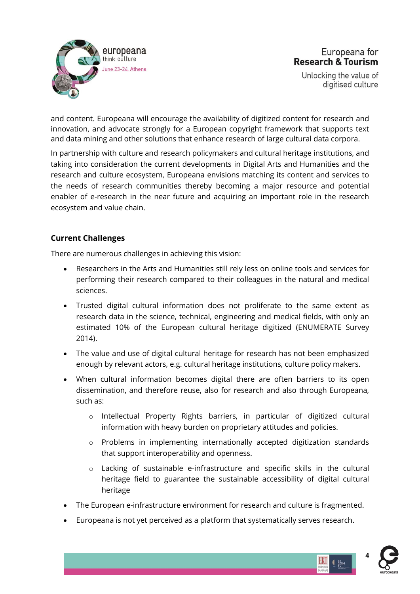

and content. Europeana will encourage the availability of digitized content for research and innovation, and advocate strongly for a European copyright framework that supports text and data mining and other solutions that enhance research of large cultural data corpora.

In partnership with culture and research policymakers and cultural heritage institutions, and taking into consideration the current developments in Digital Arts and Humanities and the research and culture ecosystem, Europeana envisions matching its content and services to the needs of research communities thereby becoming a major resource and potential enabler of e-research in the near future and acquiring an important role in the research ecosystem and value chain.

## <span id="page-3-0"></span>**Current Challenges**

There are numerous challenges in achieving this vision:

- Researchers in the Arts and Humanities still rely less on online tools and services for performing their research compared to their colleagues in the natural and medical sciences.
- Trusted digital cultural information does not proliferate to the same extent as research data in the science, technical, engineering and medical fields, with only an estimated 10% of the European cultural heritage digitized (ENUMERATE Survey 2014).
- The value and use of digital cultural heritage for research has not been emphasized enough by relevant actors, e.g. cultural heritage institutions, culture policy makers.
- When cultural information becomes digital there are often barriers to its open dissemination, and therefore reuse, also for research and also through Europeana, such as:
	- o Intellectual Property Rights barriers, in particular of digitized cultural information with heavy burden on proprietary attitudes and policies.
	- o Problems in implementing internationally accepted digitization standards that support interoperability and openness.
	- o Lacking of sustainable e-infrastructure and specific skills in the cultural heritage field to guarantee the sustainable accessibility of digital cultural heritage
- The European e-infrastructure environment for research and culture is fragmented.
- Europeana is not yet perceived as a platform that systematically serves research.



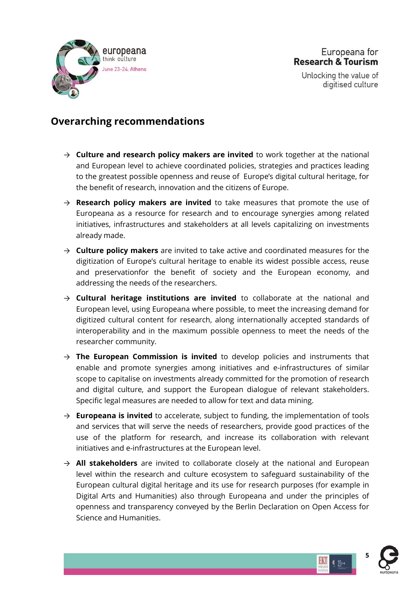

Europeana for **Research & Tourism** 

Unlocking the value of digitised culture

## <span id="page-4-0"></span>**Overarching recommendations**

- $\rightarrow$  **Culture and research policy makers are invited** to work together at the national and European level to achieve coordinated policies, strategies and practices leading to the greatest possible openness and reuse of Europe's digital cultural heritage, for the benefit of research, innovation and the citizens of Europe.
- → **Research policy makers are invited** to take measures that promote the use of Europeana as a resource for research and to encourage synergies among related initiatives, infrastructures and stakeholders at all levels capitalizing on investments already made.
- → **Culture policy makers** are invited to take active and coordinated measures for the digitization of Europe's cultural heritage to enable its widest possible access, reuse and preservationfor the benefit of society and the European economy, and addressing the needs of the researchers.
- → **Cultural heritage institutions are invited** to collaborate at the national and European level, using Europeana where possible, to meet the increasing demand for digitized cultural content for research, along internationally accepted standards of interoperability and in the maximum possible openness to meet the needs of the researcher community.
- → **The European Commission is invited** to develop policies and instruments that enable and promote synergies among initiatives and e-infrastructures of similar scope to capitalise on investments already committed for the promotion of research and digital culture, and support the European dialogue of relevant stakeholders. Specific legal measures are needed to allow for text and data mining.
- → **Europeana is invited** to accelerate, subject to funding, the implementation of tools and services that will serve the needs of researchers, provide good practices of the use of the platform for research, and increase its collaboration with relevant initiatives and e-infrastructures at the European level.
- → **All stakeholders** are invited to collaborate closely at the national and European level within the research and culture ecosystem to safeguard sustainability of the European cultural digital heritage and its use for research purposes (for example in Digital Arts and Humanities) also through Europeana and under the principles of openness and transparency conveyed by the Berlin Declaration on Open Access for Science and Humanities.



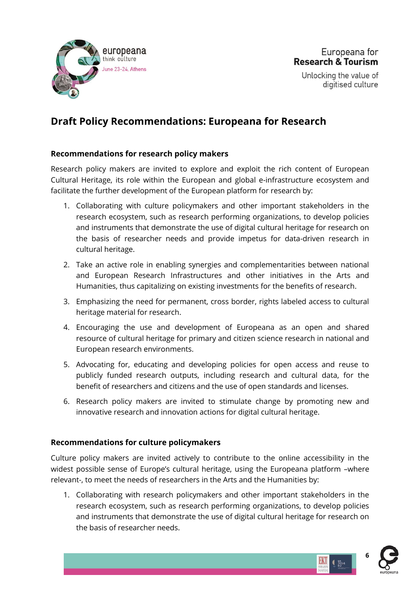

## <span id="page-5-0"></span>**Draft Policy Recommendations: Europeana for Research**

#### <span id="page-5-1"></span>**Recommendations for research policy makers**

Research policy makers are invited to explore and exploit the rich content of European Cultural Heritage, its role within the European and global e-infrastructure ecosystem and facilitate the further development of the European platform for research by:

- 1. Collaborating with culture policymakers and other important stakeholders in the research ecosystem, such as research performing organizations, to develop policies and instruments that demonstrate the use of digital cultural heritage for research on the basis of researcher needs and provide impetus for data-driven research in cultural heritage.
- 2. Take an active role in enabling synergies and complementarities between national and European Research Infrastructures and other initiatives in the Arts and Humanities, thus capitalizing on existing investments for the benefits of research.
- 3. Emphasizing the need for permanent, cross border, rights labeled access to cultural heritage material for research.
- 4. Εncouraging the use and development of Europeana as an open and shared resource of cultural heritage for primary and citizen science research in national and European research environments.
- 5. Advocating for, educating and developing policies for open access and reuse to publicly funded research outputs, including research and cultural data, for the benefit of researchers and citizens and the use of open standards and licenses.
- 6. Research policy makers are invited to stimulate change by promoting new and innovative research and innovation actions for digital cultural heritage.

#### <span id="page-5-2"></span>**Recommendations for culture policymakers**

Culture policy makers are invited actively to contribute to the online accessibility in the widest possible sense of Europe's cultural heritage, using the Europeana platform –where relevant-, to meet the needs of researchers in the Arts and the Humanities by:

1. Collaborating with research policymakers and other important stakeholders in the research ecosystem, such as research performing organizations, to develop policies and instruments that demonstrate the use of digital cultural heritage for research on the basis of researcher needs.



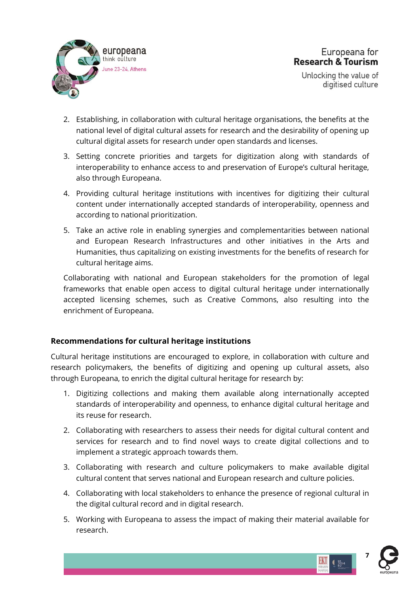

- 2. Establishing, in collaboration with cultural heritage organisations, the benefits at the national level of digital cultural assets for research and the desirability of opening up cultural digital assets for research under open standards and licenses.
- 3. Setting concrete priorities and targets for digitization along with standards of interoperability to enhance access to and preservation of Europe's cultural heritage, also through Europeana.
- 4. Providing cultural heritage institutions with incentives for digitizing their cultural content under internationally accepted standards of interoperability, openness and according to national prioritization.
- 5. Take an active role in enabling synergies and complementarities between national and European Research Infrastructures and other initiatives in the Arts and Humanities, thus capitalizing on existing investments for the benefits of research for cultural heritage aims.

Collaborating with national and European stakeholders for the promotion of legal frameworks that enable open access to digital cultural heritage under internationally accepted licensing schemes, such as Creative Commons, also resulting into the enrichment of Europeana.

## <span id="page-6-0"></span>**Recommendations for cultural heritage institutions**

Cultural heritage institutions are encouraged to explore, in collaboration with culture and research policymakers, the benefits of digitizing and opening up cultural assets, also through Europeana, to enrich the digital cultural heritage for research by:

- 1. Digitizing collections and making them available along internationally accepted standards of interoperability and openness, to enhance digital cultural heritage and its reuse for research.
- 2. Collaborating with researchers to assess their needs for digital cultural content and services for research and to find novel ways to create digital collections and to implement a strategic approach towards them.
- 3. Collaborating with research and culture policymakers to make available digital cultural content that serves national and European research and culture policies.
- 4. Collaborating with local stakeholders to enhance the presence of regional cultural in the digital cultural record and in digital research.
- 5. Working with Europeana to assess the impact of making their material available for research.